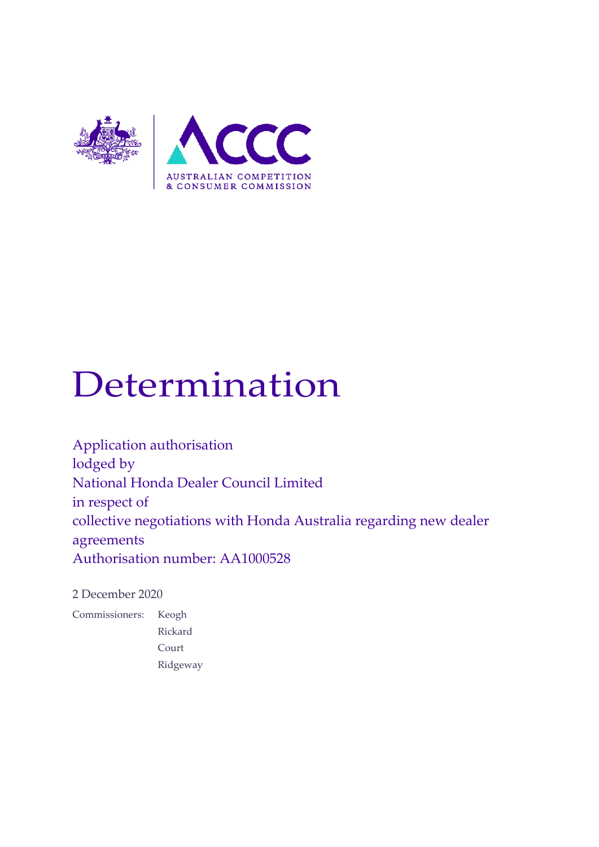

# Determination

Application authorisation lodged by National Honda Dealer Council Limited in respect of collective negotiations with Honda Australia regarding new dealer agreements Authorisation number: AA1000528

2 December 2020

Commissioners: Keogh Rickard Court Ridgeway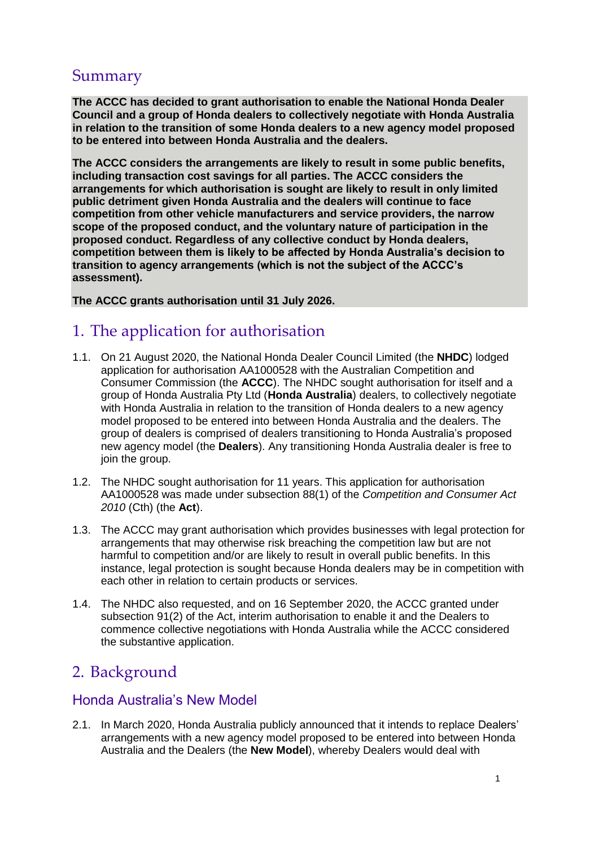# Summary

**The ACCC has decided to grant authorisation to enable the National Honda Dealer Council and a group of Honda dealers to collectively negotiate with Honda Australia in relation to the transition of some Honda dealers to a new agency model proposed to be entered into between Honda Australia and the dealers.** 

**The ACCC considers the arrangements are likely to result in some public benefits, including transaction cost savings for all parties. The ACCC considers the arrangements for which authorisation is sought are likely to result in only limited public detriment given Honda Australia and the dealers will continue to face competition from other vehicle manufacturers and service providers, the narrow scope of the proposed conduct, and the voluntary nature of participation in the proposed conduct. Regardless of any collective conduct by Honda dealers, competition between them is likely to be affected by Honda Australia's decision to transition to agency arrangements (which is not the subject of the ACCC's assessment).** 

**The ACCC grants authorisation until 31 July 2026.**

# 1. The application for authorisation

- 1.1. On 21 August 2020, the National Honda Dealer Council Limited (the **NHDC**) lodged application for authorisation AA1000528 with the Australian Competition and Consumer Commission (the **ACCC**). The NHDC sought authorisation for itself and a group of Honda Australia Pty Ltd (**Honda Australia**) dealers, to collectively negotiate with Honda Australia in relation to the transition of Honda dealers to a new agency model proposed to be entered into between Honda Australia and the dealers. The group of dealers is comprised of dealers transitioning to Honda Australia's proposed new agency model (the **Dealers**). Any transitioning Honda Australia dealer is free to join the group.
- 1.2. The NHDC sought authorisation for 11 years. This application for authorisation AA1000528 was made under subsection 88(1) of the *Competition and Consumer Act 2010* (Cth) (the **Act**).
- 1.3. The ACCC may grant authorisation which provides businesses with legal protection for arrangements that may otherwise risk breaching the competition law but are not harmful to competition and/or are likely to result in overall public benefits. In this instance, legal protection is sought because Honda dealers may be in competition with each other in relation to certain products or services.
- 1.4. The NHDC also requested, and on 16 September 2020, the ACCC granted under subsection 91(2) of the Act, interim authorisation to enable it and the Dealers to commence collective negotiations with Honda Australia while the ACCC considered the substantive application.

# 2. Background

# Honda Australia's New Model

2.1. In March 2020, Honda Australia publicly announced that it intends to replace Dealers' arrangements with a new agency model proposed to be entered into between Honda Australia and the Dealers (the **New Model**), whereby Dealers would deal with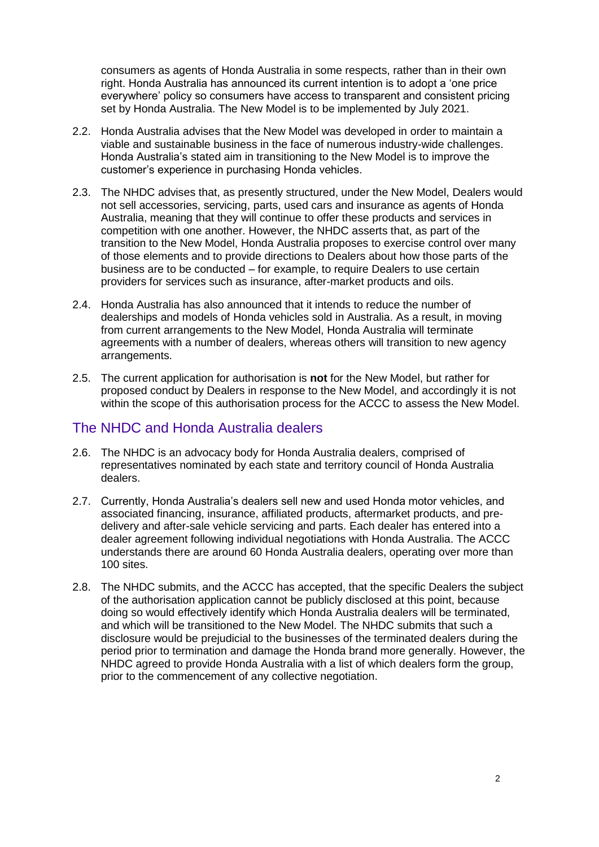consumers as agents of Honda Australia in some respects, rather than in their own right. Honda Australia has announced its current intention is to adopt a 'one price everywhere' policy so consumers have access to transparent and consistent pricing set by Honda Australia. The New Model is to be implemented by July 2021.

- 2.2. Honda Australia advises that the New Model was developed in order to maintain a viable and sustainable business in the face of numerous industry-wide challenges. Honda Australia's stated aim in transitioning to the New Model is to improve the customer's experience in purchasing Honda vehicles.
- 2.3. The NHDC advises that, as presently structured, under the New Model, Dealers would not sell accessories, servicing, parts, used cars and insurance as agents of Honda Australia, meaning that they will continue to offer these products and services in competition with one another. However, the NHDC asserts that, as part of the transition to the New Model, Honda Australia proposes to exercise control over many of those elements and to provide directions to Dealers about how those parts of the business are to be conducted – for example, to require Dealers to use certain providers for services such as insurance, after-market products and oils.
- 2.4. Honda Australia has also announced that it intends to reduce the number of dealerships and models of Honda vehicles sold in Australia. As a result, in moving from current arrangements to the New Model, Honda Australia will terminate agreements with a number of dealers, whereas others will transition to new agency arrangements.
- 2.5. The current application for authorisation is **not** for the New Model, but rather for proposed conduct by Dealers in response to the New Model, and accordingly it is not within the scope of this authorisation process for the ACCC to assess the New Model.

# The NHDC and Honda Australia dealers

- 2.6. The NHDC is an advocacy body for Honda Australia dealers, comprised of representatives nominated by each state and territory council of Honda Australia dealers.
- 2.7. Currently, Honda Australia's dealers sell new and used Honda motor vehicles, and associated financing, insurance, affiliated products, aftermarket products, and predelivery and after-sale vehicle servicing and parts. Each dealer has entered into a dealer agreement following individual negotiations with Honda Australia. The ACCC understands there are around 60 Honda Australia dealers, operating over more than 100 sites.
- 2.8. The NHDC submits, and the ACCC has accepted, that the specific Dealers the subject of the authorisation application cannot be publicly disclosed at this point, because doing so would effectively identify which Honda Australia dealers will be terminated, and which will be transitioned to the New Model. The NHDC submits that such a disclosure would be prejudicial to the businesses of the terminated dealers during the period prior to termination and damage the Honda brand more generally. However, the NHDC agreed to provide Honda Australia with a list of which dealers form the group, prior to the commencement of any collective negotiation.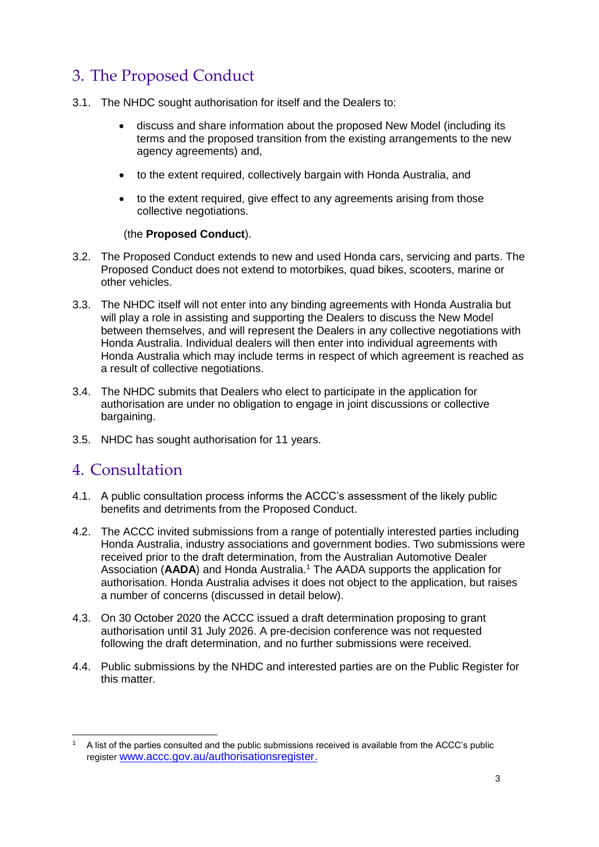# 3. The Proposed Conduct

- 3.1. The NHDC sought authorisation for itself and the Dealers to:
	- discuss and share information about the proposed New Model (including its terms and the proposed transition from the existing arrangements to the new agency agreements) and,
	- to the extent required, collectively bargain with Honda Australia, and
	- to the extent required, give effect to any agreements arising from those collective negotiations.

#### (the **Proposed Conduct**).

- 3.2. The Proposed Conduct extends to new and used Honda cars, servicing and parts. The Proposed Conduct does not extend to motorbikes, quad bikes, scooters, marine or other vehicles.
- 3.3. The NHDC itself will not enter into any binding agreements with Honda Australia but will play a role in assisting and supporting the Dealers to discuss the New Model between themselves, and will represent the Dealers in any collective negotiations with Honda Australia. Individual dealers will then enter into individual agreements with Honda Australia which may include terms in respect of which agreement is reached as a result of collective negotiations.
- 3.4. The NHDC submits that Dealers who elect to participate in the application for authorisation are under no obligation to engage in joint discussions or collective bargaining.
- 3.5. NHDC has sought authorisation for 11 years.

# 4. Consultation

- 4.1. A public consultation process informs the ACCC's assessment of the likely public benefits and detriments from the Proposed Conduct.
- 4.2. The ACCC invited submissions from a range of potentially interested parties including Honda Australia, industry associations and government bodies. Two submissions were received prior to the draft determination, from the Australian Automotive Dealer Association (**AADA**) and Honda Australia. <sup>1</sup> The AADA supports the application for authorisation. Honda Australia advises it does not object to the application, but raises a number of concerns (discussed in detail below).
- 4.3. On 30 October 2020 the ACCC issued a draft determination proposing to grant authorisation until 31 July 2026. A pre-decision conference was not requested following the draft determination, and no further submissions were received.
- 4.4. Public submissions by the NHDC and interested parties are on the Public Register for this matter.

<sup>-</sup><sup>1</sup> A list of the parties consulted and the public submissions received is available from the ACCC's public register [www.accc.gov.au/authorisationsregister.](http://www.accc.gov.au/authorisationsregister)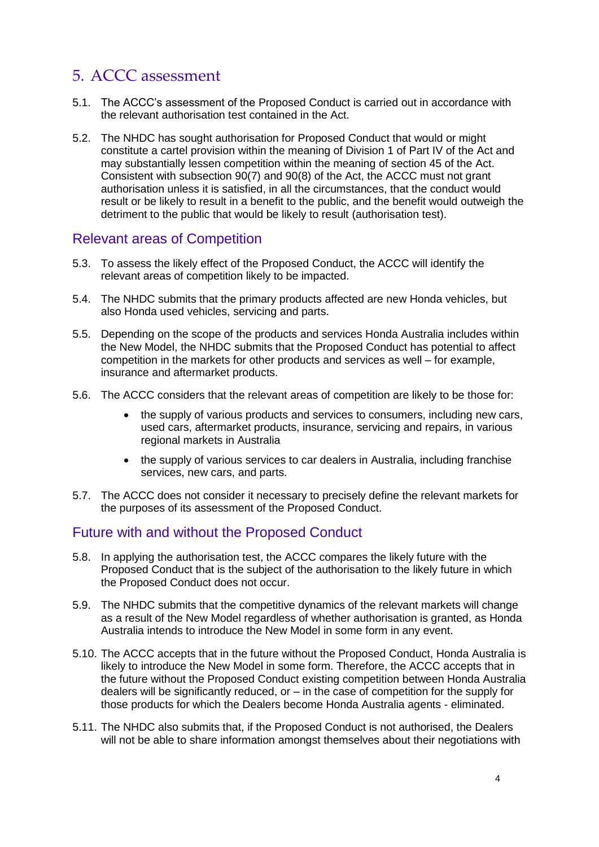# 5. ACCC assessment

- 5.1. The ACCC's assessment of the Proposed Conduct is carried out in accordance with the relevant authorisation test contained in the Act.
- 5.2. The NHDC has sought authorisation for Proposed Conduct that would or might constitute a cartel provision within the meaning of Division 1 of Part IV of the Act and may substantially lessen competition within the meaning of section 45 of the Act. Consistent with subsection 90(7) and 90(8) of the Act, the ACCC must not grant authorisation unless it is satisfied, in all the circumstances, that the conduct would result or be likely to result in a benefit to the public, and the benefit would outweigh the detriment to the public that would be likely to result (authorisation test).

## Relevant areas of Competition

- 5.3. To assess the likely effect of the Proposed Conduct, the ACCC will identify the relevant areas of competition likely to be impacted.
- 5.4. The NHDC submits that the primary products affected are new Honda vehicles, but also Honda used vehicles, servicing and parts.
- 5.5. Depending on the scope of the products and services Honda Australia includes within the New Model, the NHDC submits that the Proposed Conduct has potential to affect competition in the markets for other products and services as well – for example, insurance and aftermarket products.
- 5.6. The ACCC considers that the relevant areas of competition are likely to be those for:
	- the supply of various products and services to consumers, including new cars, used cars, aftermarket products, insurance, servicing and repairs, in various regional markets in Australia
	- the supply of various services to car dealers in Australia, including franchise services, new cars, and parts.
- 5.7. The ACCC does not consider it necessary to precisely define the relevant markets for the purposes of its assessment of the Proposed Conduct.

# Future with and without the Proposed Conduct

- 5.8. In applying the authorisation test, the ACCC compares the likely future with the Proposed Conduct that is the subject of the authorisation to the likely future in which the Proposed Conduct does not occur.
- 5.9. The NHDC submits that the competitive dynamics of the relevant markets will change as a result of the New Model regardless of whether authorisation is granted, as Honda Australia intends to introduce the New Model in some form in any event.
- 5.10. The ACCC accepts that in the future without the Proposed Conduct, Honda Australia is likely to introduce the New Model in some form. Therefore, the ACCC accepts that in the future without the Proposed Conduct existing competition between Honda Australia dealers will be significantly reduced, or – in the case of competition for the supply for those products for which the Dealers become Honda Australia agents - eliminated.
- 5.11. The NHDC also submits that, if the Proposed Conduct is not authorised, the Dealers will not be able to share information amongst themselves about their negotiations with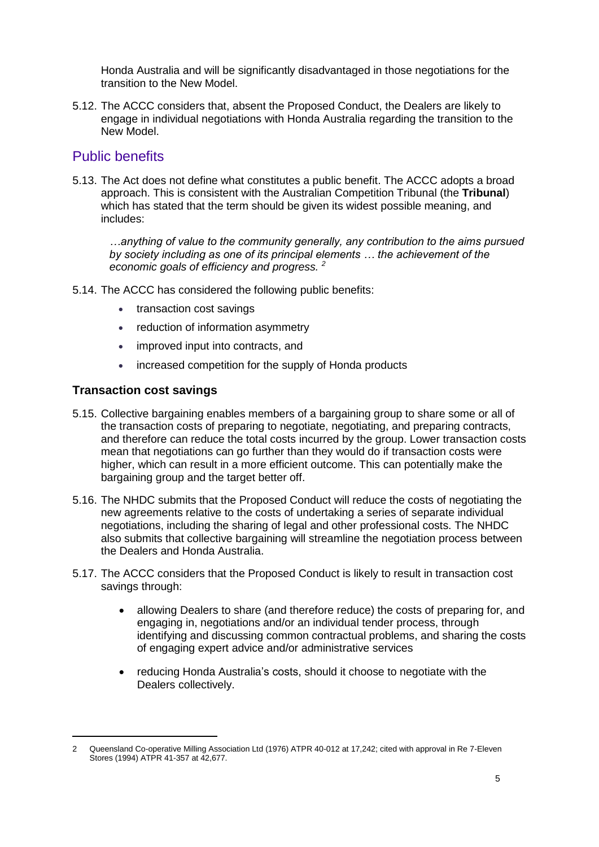Honda Australia and will be significantly disadvantaged in those negotiations for the transition to the New Model.

5.12. The ACCC considers that, absent the Proposed Conduct, the Dealers are likely to engage in individual negotiations with Honda Australia regarding the transition to the New Model.

## Public benefits

5.13. The Act does not define what constitutes a public benefit. The ACCC adopts a broad approach. This is consistent with the Australian Competition Tribunal (the **Tribunal**) which has stated that the term should be given its widest possible meaning, and includes:

*…anything of value to the community generally, any contribution to the aims pursued by society including as one of its principal elements … the achievement of the economic goals of efficiency and progress. <sup>2</sup>*

- 5.14. The ACCC has considered the following public benefits:
	- transaction cost savings
	- reduction of information asymmetry
	- improved input into contracts, and
	- increased competition for the supply of Honda products

#### **Transaction cost savings**

- 5.15. Collective bargaining enables members of a bargaining group to share some or all of the transaction costs of preparing to negotiate, negotiating, and preparing contracts, and therefore can reduce the total costs incurred by the group. Lower transaction costs mean that negotiations can go further than they would do if transaction costs were higher, which can result in a more efficient outcome. This can potentially make the bargaining group and the target better off.
- 5.16. The NHDC submits that the Proposed Conduct will reduce the costs of negotiating the new agreements relative to the costs of undertaking a series of separate individual negotiations, including the sharing of legal and other professional costs. The NHDC also submits that collective bargaining will streamline the negotiation process between the Dealers and Honda Australia.
- 5.17. The ACCC considers that the Proposed Conduct is likely to result in transaction cost savings through:
	- allowing Dealers to share (and therefore reduce) the costs of preparing for, and engaging in, negotiations and/or an individual tender process, through identifying and discussing common contractual problems, and sharing the costs of engaging expert advice and/or administrative services
	- reducing Honda Australia's costs, should it choose to negotiate with the Dealers collectively.

<sup>2</sup> Queensland Co-operative Milling Association Ltd (1976) ATPR 40-012 at 17,242; cited with approval in Re 7-Eleven Stores (1994) ATPR 41-357 at 42,677.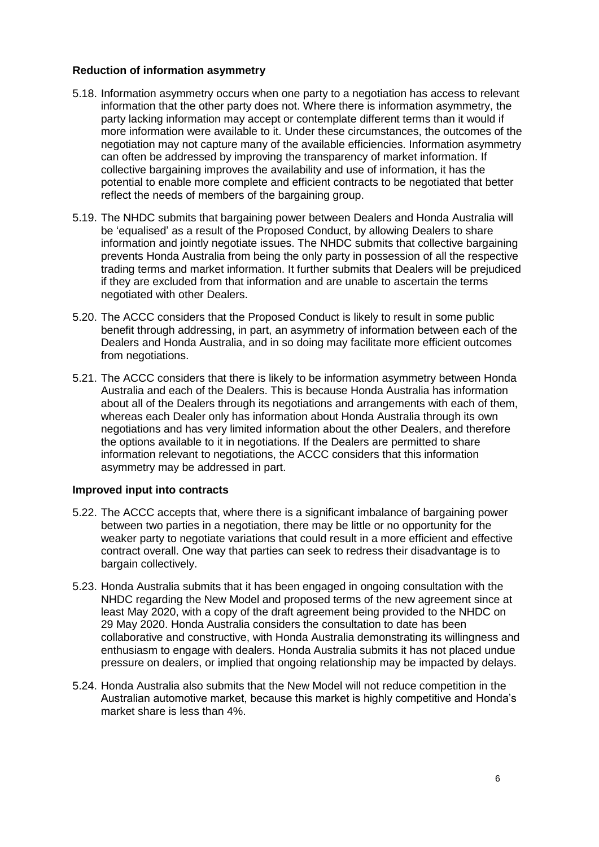#### **Reduction of information asymmetry**

- 5.18. Information asymmetry occurs when one party to a negotiation has access to relevant information that the other party does not. Where there is information asymmetry, the party lacking information may accept or contemplate different terms than it would if more information were available to it. Under these circumstances, the outcomes of the negotiation may not capture many of the available efficiencies. Information asymmetry can often be addressed by improving the transparency of market information. If collective bargaining improves the availability and use of information, it has the potential to enable more complete and efficient contracts to be negotiated that better reflect the needs of members of the bargaining group.
- 5.19. The NHDC submits that bargaining power between Dealers and Honda Australia will be 'equalised' as a result of the Proposed Conduct, by allowing Dealers to share information and jointly negotiate issues. The NHDC submits that collective bargaining prevents Honda Australia from being the only party in possession of all the respective trading terms and market information. It further submits that Dealers will be prejudiced if they are excluded from that information and are unable to ascertain the terms negotiated with other Dealers.
- 5.20. The ACCC considers that the Proposed Conduct is likely to result in some public benefit through addressing, in part, an asymmetry of information between each of the Dealers and Honda Australia, and in so doing may facilitate more efficient outcomes from negotiations.
- 5.21. The ACCC considers that there is likely to be information asymmetry between Honda Australia and each of the Dealers. This is because Honda Australia has information about all of the Dealers through its negotiations and arrangements with each of them, whereas each Dealer only has information about Honda Australia through its own negotiations and has very limited information about the other Dealers, and therefore the options available to it in negotiations. If the Dealers are permitted to share information relevant to negotiations, the ACCC considers that this information asymmetry may be addressed in part.

#### **Improved input into contracts**

- 5.22. The ACCC accepts that, where there is a significant imbalance of bargaining power between two parties in a negotiation, there may be little or no opportunity for the weaker party to negotiate variations that could result in a more efficient and effective contract overall. One way that parties can seek to redress their disadvantage is to bargain collectively.
- 5.23. Honda Australia submits that it has been engaged in ongoing consultation with the NHDC regarding the New Model and proposed terms of the new agreement since at least May 2020, with a copy of the draft agreement being provided to the NHDC on 29 May 2020. Honda Australia considers the consultation to date has been collaborative and constructive, with Honda Australia demonstrating its willingness and enthusiasm to engage with dealers. Honda Australia submits it has not placed undue pressure on dealers, or implied that ongoing relationship may be impacted by delays.
- 5.24. Honda Australia also submits that the New Model will not reduce competition in the Australian automotive market, because this market is highly competitive and Honda's market share is less than 4%.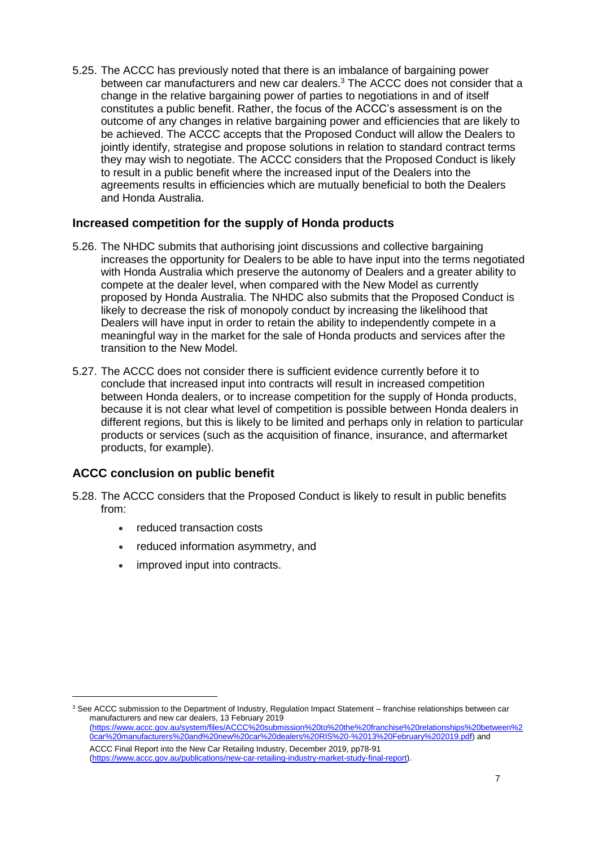5.25. The ACCC has previously noted that there is an imbalance of bargaining power between car manufacturers and new car dealers.<sup>3</sup> The ACCC does not consider that a change in the relative bargaining power of parties to negotiations in and of itself constitutes a public benefit. Rather, the focus of the ACCC's assessment is on the outcome of any changes in relative bargaining power and efficiencies that are likely to be achieved. The ACCC accepts that the Proposed Conduct will allow the Dealers to jointly identify, strategise and propose solutions in relation to standard contract terms they may wish to negotiate. The ACCC considers that the Proposed Conduct is likely to result in a public benefit where the increased input of the Dealers into the agreements results in efficiencies which are mutually beneficial to both the Dealers and Honda Australia.

#### **Increased competition for the supply of Honda products**

- 5.26. The NHDC submits that authorising joint discussions and collective bargaining increases the opportunity for Dealers to be able to have input into the terms negotiated with Honda Australia which preserve the autonomy of Dealers and a greater ability to compete at the dealer level, when compared with the New Model as currently proposed by Honda Australia. The NHDC also submits that the Proposed Conduct is likely to decrease the risk of monopoly conduct by increasing the likelihood that Dealers will have input in order to retain the ability to independently compete in a meaningful way in the market for the sale of Honda products and services after the transition to the New Model.
- 5.27. The ACCC does not consider there is sufficient evidence currently before it to conclude that increased input into contracts will result in increased competition between Honda dealers, or to increase competition for the supply of Honda products, because it is not clear what level of competition is possible between Honda dealers in different regions, but this is likely to be limited and perhaps only in relation to particular products or services (such as the acquisition of finance, insurance, and aftermarket products, for example).

#### **ACCC conclusion on public benefit**

- 5.28. The ACCC considers that the Proposed Conduct is likely to result in public benefits from:
	- reduced transaction costs
	- reduced information asymmetry, and
	- improved input into contracts.

<sup>&</sup>lt;sup>3</sup> See ACCC submission to the Department of Industry, Regulation Impact Statement – franchise relationships between car manufacturers and new car dealers, 13 February 2019 [\(https://www.accc.gov.au/system/files/ACCC%20submission%20to%20the%20franchise%20relationships%20between%2](https://www.accc.gov.au/system/files/ACCC%20submission%20to%20the%20franchise%20relationships%20between%20car%20manufacturers%20and%20new%20car%20dealers%20RIS%20-%2013%20February%202019.pdf) [0car%20manufacturers%20and%20new%20car%20dealers%20RIS%20-%2013%20February%202019.pdf\)](https://www.accc.gov.au/system/files/ACCC%20submission%20to%20the%20franchise%20relationships%20between%20car%20manufacturers%20and%20new%20car%20dealers%20RIS%20-%2013%20February%202019.pdf) and ACCC Final Report into the New Car Retailing Industry, December 2019, pp78-91 [\(https://www.accc.gov.au/publications/new-car-retailing-industry-market-study-final-report\)](https://www.accc.gov.au/publications/new-car-retailing-industry-market-study-final-report).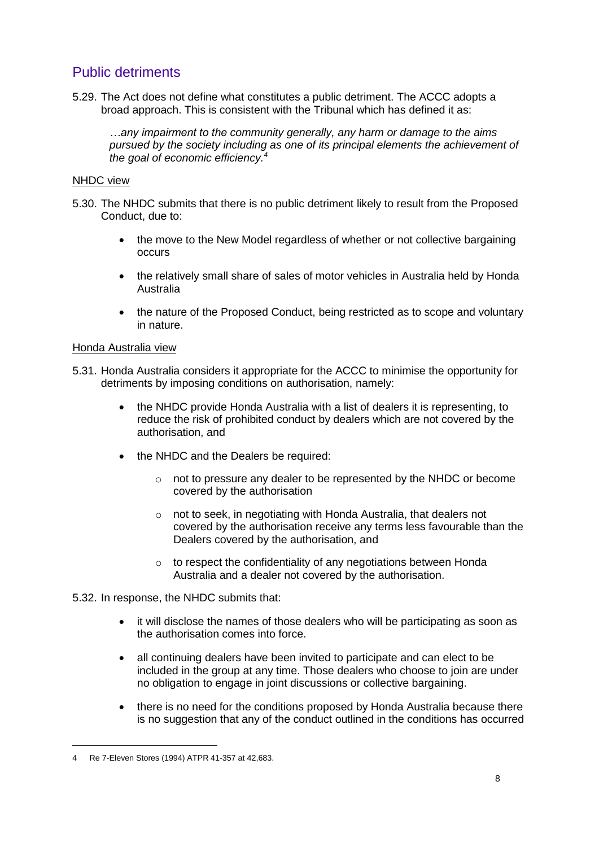# Public detriments

5.29. The Act does not define what constitutes a public detriment. The ACCC adopts a broad approach. This is consistent with the Tribunal which has defined it as:

*…any impairment to the community generally, any harm or damage to the aims pursued by the society including as one of its principal elements the achievement of the goal of economic efficiency.<sup>4</sup>*

#### NHDC view

- 5.30. The NHDC submits that there is no public detriment likely to result from the Proposed Conduct, due to:
	- the move to the New Model regardless of whether or not collective bargaining occurs
	- the relatively small share of sales of motor vehicles in Australia held by Honda Australia
	- the nature of the Proposed Conduct, being restricted as to scope and voluntary in nature.

#### Honda Australia view

- 5.31. Honda Australia considers it appropriate for the ACCC to minimise the opportunity for detriments by imposing conditions on authorisation, namely:
	- the NHDC provide Honda Australia with a list of dealers it is representing, to reduce the risk of prohibited conduct by dealers which are not covered by the authorisation, and
	- the NHDC and the Dealers be required:
		- o not to pressure any dealer to be represented by the NHDC or become covered by the authorisation
		- o not to seek, in negotiating with Honda Australia, that dealers not covered by the authorisation receive any terms less favourable than the Dealers covered by the authorisation, and
		- $\circ$  to respect the confidentiality of any negotiations between Honda Australia and a dealer not covered by the authorisation.

#### 5.32. In response, the NHDC submits that:

- it will disclose the names of those dealers who will be participating as soon as the authorisation comes into force.
- all continuing dealers have been invited to participate and can elect to be included in the group at any time. Those dealers who choose to join are under no obligation to engage in joint discussions or collective bargaining.
- there is no need for the conditions proposed by Honda Australia because there is no suggestion that any of the conduct outlined in the conditions has occurred

<sup>4</sup> Re 7-Eleven Stores (1994) ATPR 41-357 at 42,683.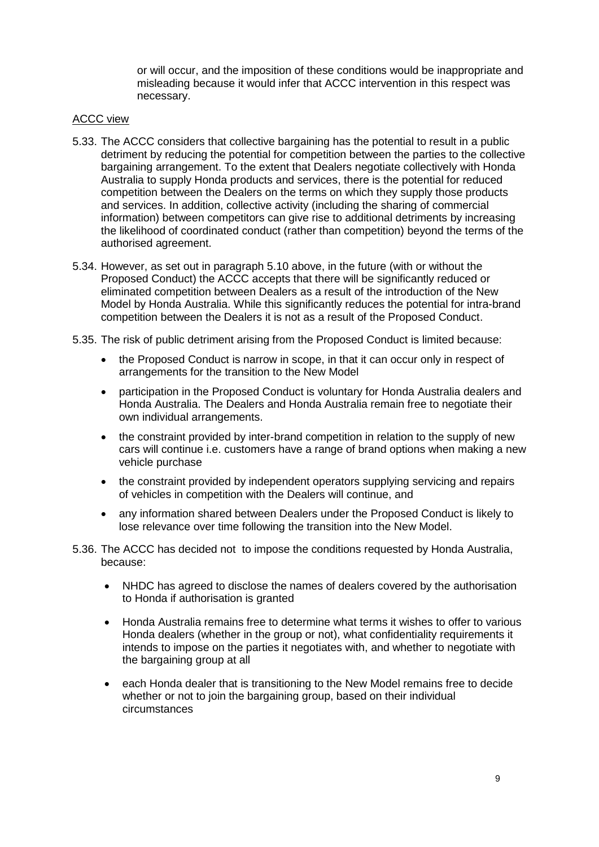or will occur, and the imposition of these conditions would be inappropriate and misleading because it would infer that ACCC intervention in this respect was necessary.

#### ACCC view

- 5.33. The ACCC considers that collective bargaining has the potential to result in a public detriment by reducing the potential for competition between the parties to the collective bargaining arrangement. To the extent that Dealers negotiate collectively with Honda Australia to supply Honda products and services, there is the potential for reduced competition between the Dealers on the terms on which they supply those products and services. In addition, collective activity (including the sharing of commercial information) between competitors can give rise to additional detriments by increasing the likelihood of coordinated conduct (rather than competition) beyond the terms of the authorised agreement.
- 5.34. However, as set out in paragraph 5.10 above, in the future (with or without the Proposed Conduct) the ACCC accepts that there will be significantly reduced or eliminated competition between Dealers as a result of the introduction of the New Model by Honda Australia. While this significantly reduces the potential for intra-brand competition between the Dealers it is not as a result of the Proposed Conduct.
- 5.35. The risk of public detriment arising from the Proposed Conduct is limited because:
	- the Proposed Conduct is narrow in scope, in that it can occur only in respect of arrangements for the transition to the New Model
	- participation in the Proposed Conduct is voluntary for Honda Australia dealers and Honda Australia. The Dealers and Honda Australia remain free to negotiate their own individual arrangements.
	- the constraint provided by inter-brand competition in relation to the supply of new cars will continue i.e. customers have a range of brand options when making a new vehicle purchase
	- the constraint provided by independent operators supplying servicing and repairs of vehicles in competition with the Dealers will continue, and
	- any information shared between Dealers under the Proposed Conduct is likely to lose relevance over time following the transition into the New Model.
- 5.36. The ACCC has decided not to impose the conditions requested by Honda Australia, because:
	- NHDC has agreed to disclose the names of dealers covered by the authorisation to Honda if authorisation is granted
	- Honda Australia remains free to determine what terms it wishes to offer to various Honda dealers (whether in the group or not), what confidentiality requirements it intends to impose on the parties it negotiates with, and whether to negotiate with the bargaining group at all
	- each Honda dealer that is transitioning to the New Model remains free to decide whether or not to join the bargaining group, based on their individual circumstances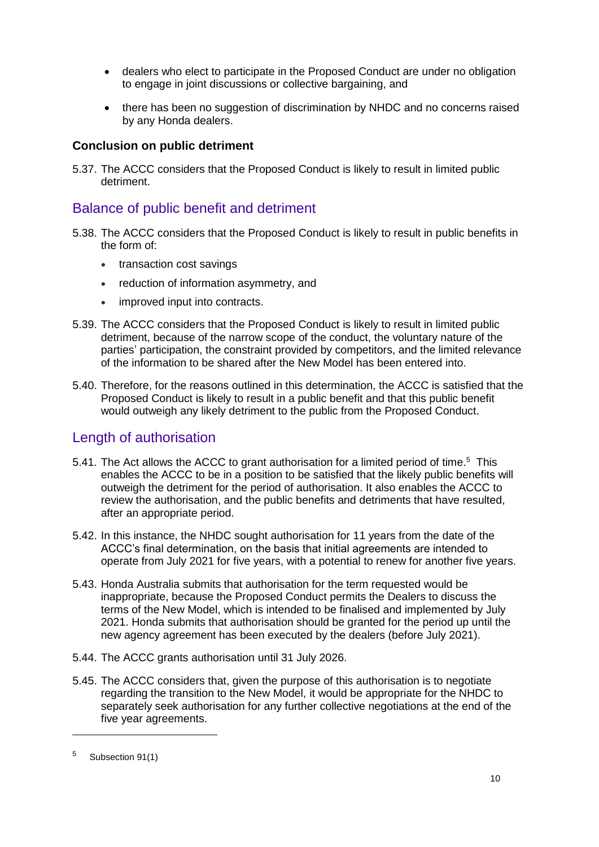- dealers who elect to participate in the Proposed Conduct are under no obligation to engage in joint discussions or collective bargaining, and
- there has been no suggestion of discrimination by NHDC and no concerns raised by any Honda dealers.

#### **Conclusion on public detriment**

5.37. The ACCC considers that the Proposed Conduct is likely to result in limited public detriment.

## Balance of public benefit and detriment

- 5.38. The ACCC considers that the Proposed Conduct is likely to result in public benefits in the form of:
	- transaction cost savings
	- reduction of information asymmetry, and
	- improved input into contracts.
- 5.39. The ACCC considers that the Proposed Conduct is likely to result in limited public detriment, because of the narrow scope of the conduct, the voluntary nature of the parties' participation, the constraint provided by competitors, and the limited relevance of the information to be shared after the New Model has been entered into.
- 5.40. Therefore, for the reasons outlined in this determination, the ACCC is satisfied that the Proposed Conduct is likely to result in a public benefit and that this public benefit would outweigh any likely detriment to the public from the Proposed Conduct.

## Length of authorisation

- 5.41. The Act allows the ACCC to grant authorisation for a limited period of time.<sup>5</sup> This enables the ACCC to be in a position to be satisfied that the likely public benefits will outweigh the detriment for the period of authorisation. It also enables the ACCC to review the authorisation, and the public benefits and detriments that have resulted, after an appropriate period.
- 5.42. In this instance, the NHDC sought authorisation for 11 years from the date of the ACCC's final determination, on the basis that initial agreements are intended to operate from July 2021 for five years, with a potential to renew for another five years.
- 5.43. Honda Australia submits that authorisation for the term requested would be inappropriate, because the Proposed Conduct permits the Dealers to discuss the terms of the New Model, which is intended to be finalised and implemented by July 2021. Honda submits that authorisation should be granted for the period up until the new agency agreement has been executed by the dealers (before July 2021).
- 5.44. The ACCC grants authorisation until 31 July 2026.
- 5.45. The ACCC considers that, given the purpose of this authorisation is to negotiate regarding the transition to the New Model, it would be appropriate for the NHDC to separately seek authorisation for any further collective negotiations at the end of the five year agreements.

<sup>5</sup> Subsection 91(1)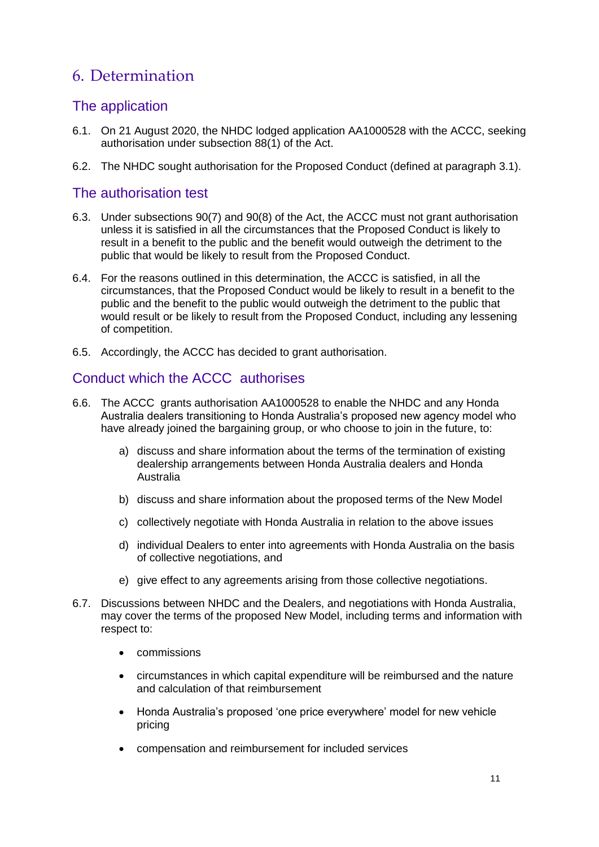# 6. Determination

# The application

- 6.1. On 21 August 2020, the NHDC lodged application AA1000528 with the ACCC, seeking authorisation under subsection 88(1) of the Act.
- 6.2. The NHDC sought authorisation for the Proposed Conduct (defined at paragraph 3.1).

## The authorisation test

- 6.3. Under subsections 90(7) and 90(8) of the Act, the ACCC must not grant authorisation unless it is satisfied in all the circumstances that the Proposed Conduct is likely to result in a benefit to the public and the benefit would outweigh the detriment to the public that would be likely to result from the Proposed Conduct.
- 6.4. For the reasons outlined in this determination, the ACCC is satisfied, in all the circumstances, that the Proposed Conduct would be likely to result in a benefit to the public and the benefit to the public would outweigh the detriment to the public that would result or be likely to result from the Proposed Conduct, including any lessening of competition.
- 6.5. Accordingly, the ACCC has decided to grant authorisation.

# Conduct which the ACCC authorises

- 6.6. The ACCC grants authorisation AA1000528 to enable the NHDC and any Honda Australia dealers transitioning to Honda Australia's proposed new agency model who have already joined the bargaining group, or who choose to join in the future, to:
	- a) discuss and share information about the terms of the termination of existing dealership arrangements between Honda Australia dealers and Honda Australia
	- b) discuss and share information about the proposed terms of the New Model
	- c) collectively negotiate with Honda Australia in relation to the above issues
	- d) individual Dealers to enter into agreements with Honda Australia on the basis of collective negotiations, and
	- e) give effect to any agreements arising from those collective negotiations.
- 6.7. Discussions between NHDC and the Dealers, and negotiations with Honda Australia, may cover the terms of the proposed New Model, including terms and information with respect to:
	- commissions
	- circumstances in which capital expenditure will be reimbursed and the nature and calculation of that reimbursement
	- Honda Australia's proposed 'one price everywhere' model for new vehicle pricing
	- compensation and reimbursement for included services